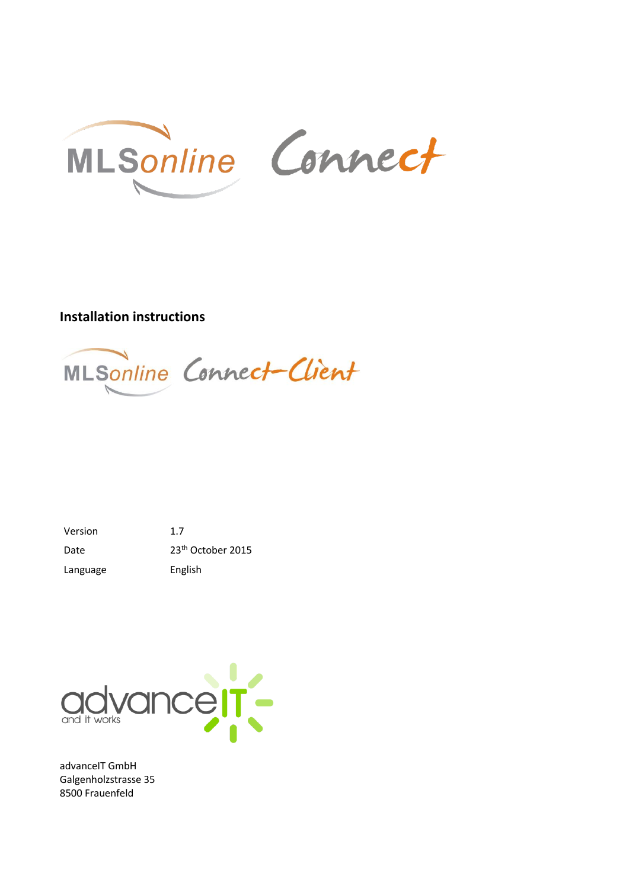

## **Installation instructions**



Version 1.7 Date 23<sup>th</sup> October 2015 Language English



advanceIT GmbH Galgenholzstrasse 35 8500 Frauenfeld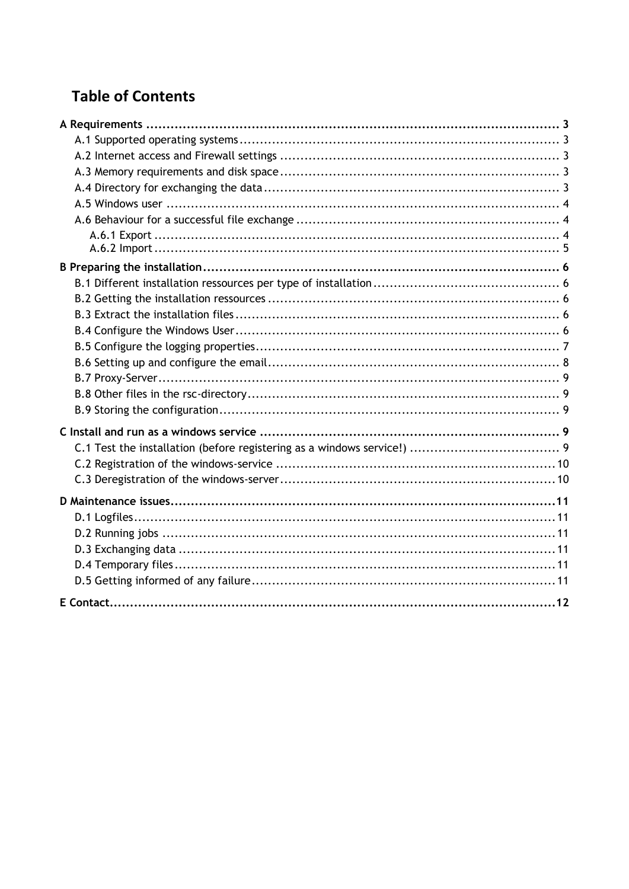# **Table of Contents**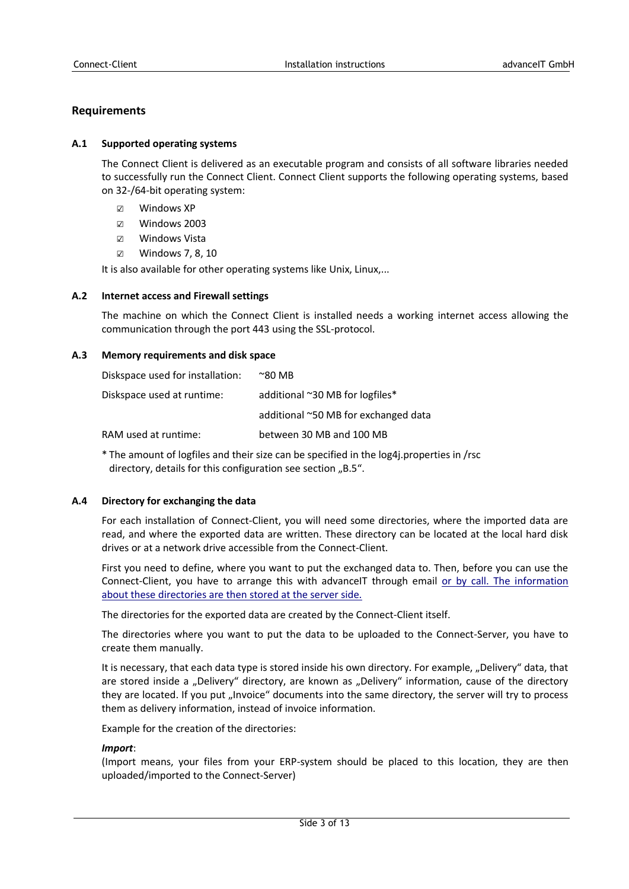## **Requirements**

## **A.1 Supported operating systems**

The Connect Client is delivered as an executable program and consists of all software libraries needed to successfully run the Connect Client. Connect Client supports the following operating systems, based on 32-/64-bit operating system:

- ☑ Windows XP
- ☑ Windows 2003
- ☑ Windows Vista
- ☑ Windows 7, 8, 10

It is also available for other operating systems like Unix, Linux,...

## **A.2 Internet access and Firewall settings**

The machine on which the Connect Client is installed needs a working internet access allowing the communication through the port 443 using the SSL-protocol.

## **A.3 Memory requirements and disk space**

| Diskspace used for installation: | $^{\sim}80$ MB                       |
|----------------------------------|--------------------------------------|
| Diskspace used at runtime:       | additional ~30 MB for logfiles*      |
|                                  | additional ~50 MB for exchanged data |
| RAM used at runtime:             | between 30 MB and 100 MB             |

\* The amount of logfiles and their size can be specified in the log4j.properties in /rsc directory, details for this configuration see section "B.5".

## **A.4 Directory for exchanging the data**

For each installation of Connect-Client, you will need some directories, where the imported data are read, and where the exported data are written. These directory can be located at the local hard disk drives or at a network drive accessible from the Connect-Client.

First you need to define, where you want to put the exchanged data to. Then, before you can use the Connect-Client, you have to arrange this with advanceIT through email or by call. The information about these [directories are then stored at the server side.](mailto:connect-support@advanceit.ch)

The directories for the exported data are created by the Connect-Client itself.

The directories where you want to put the data to be uploaded to the Connect-Server, you have to create them manually.

It is necessary, that each data type is stored inside his own directory. For example, "Delivery" data, that are stored inside a "Delivery" directory, are known as "Delivery" information, cause of the directory they are located. If you put "Invoice" documents into the same directory, the server will try to process them as delivery information, instead of invoice information.

Example for the creation of the directories:

## *Import*:

(Import means, your files from your ERP-system should be placed to this location, they are then uploaded/imported to the Connect-Server)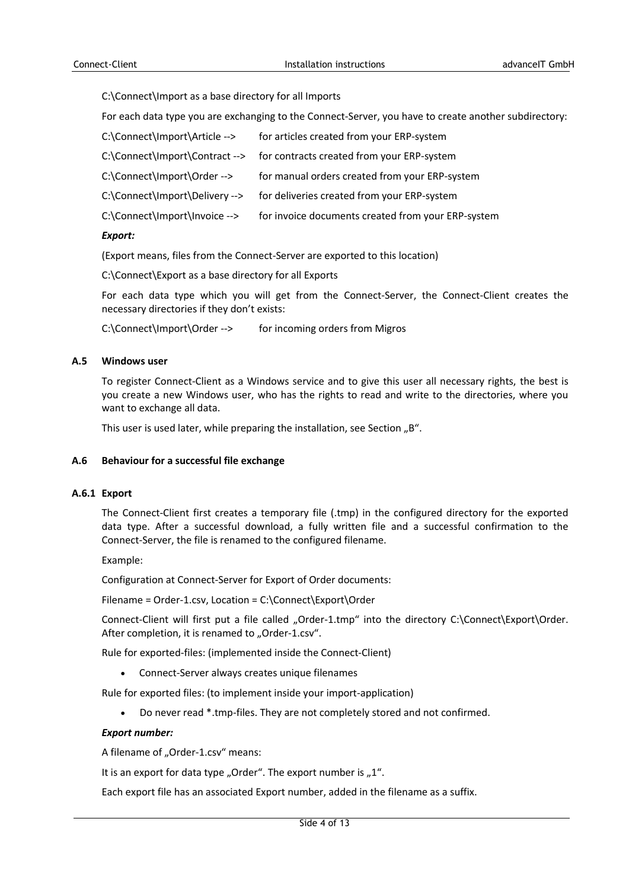C:\Connect\Import as a base directory for all Imports

For each data type you are exchanging to the Connect-Server, you have to create another subdirectory:

| C:\Connect\Import\Article -->  | for articles created from your ERP-system                                 |
|--------------------------------|---------------------------------------------------------------------------|
|                                | C:\Connect\Import\Contract --> for contracts created from your ERP-system |
| C:\Connect\Import\Order -->    | for manual orders created from your ERP-system                            |
| C:\Connect\Import\Delivery --> | for deliveries created from your ERP-system                               |
| C:\Connect\Import\Invoice -->  | for invoice documents created from your ERP-system                        |
|                                |                                                                           |

## *Export:*

(Export means, files from the Connect-Server are exported to this location)

C:\Connect\Export as a base directory for all Exports

For each data type which you will get from the Connect-Server, the Connect-Client creates the necessary directories if they don't exists:

C:\Connect\Import\Order --> for incoming orders from Migros

#### **A.5 Windows user**

To register Connect-Client as a Windows service and to give this user all necessary rights, the best is you create a new Windows user, who has the rights to read and write to the directories, where you want to exchange all data.

This user is used later, while preparing the installation, see Section "B".

## **A.6 Behaviour for a successful file exchange**

## **A.6.1 Export**

The Connect-Client first creates a temporary file (.tmp) in the configured directory for the exported data type. After a successful download, a fully written file and a successful confirmation to the Connect-Server, the file is renamed to the configured filename.

Example:

Configuration at Connect-Server for Export of Order documents:

Filename = Order-1.csv, Location = C:\Connect\Export\Order

Connect-Client will first put a file called "Order-1.tmp" into the directory C:\Connect\Export\Order. After completion, it is renamed to "Order-1.csv".

Rule for exported-files: (implemented inside the Connect-Client)

Connect-Server always creates unique filenames

Rule for exported files: (to implement inside your import-application)

Do never read \*.tmp-files. They are not completely stored and not confirmed.

## *Export number:*

A filename of "Order-1.csv" means:

It is an export for data type "Order". The export number is  $n^1$ .

Each export file has an associated Export number, added in the filename as a suffix.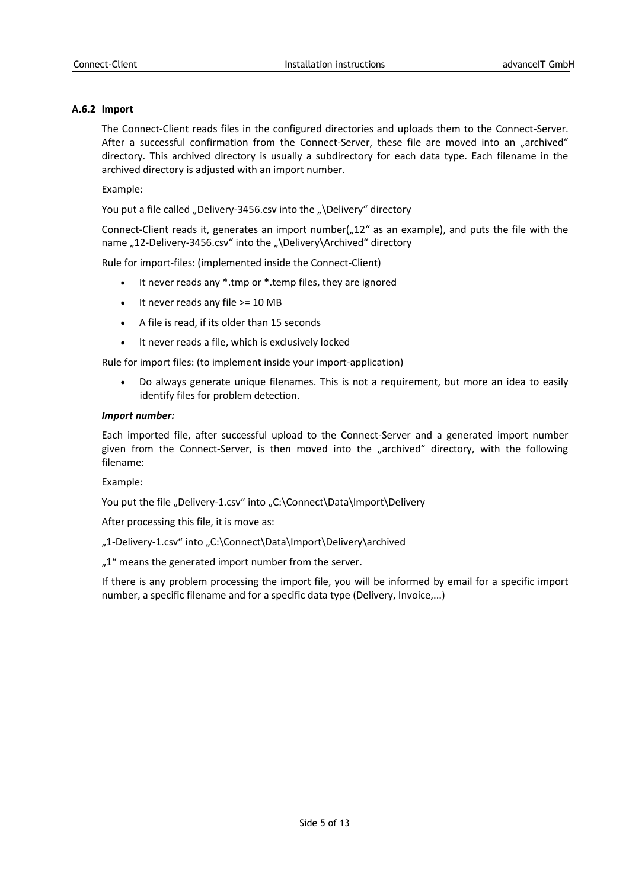## **A.6.2 Import**

The Connect-Client reads files in the configured directories and uploads them to the Connect-Server. After a successful confirmation from the Connect-Server, these file are moved into an "archived" directory. This archived directory is usually a subdirectory for each data type. Each filename in the archived directory is adjusted with an import number.

Example:

You put a file called "Delivery-3456.csv into the "\Delivery" directory

Connect-Client reads it, generates an import number( $n$ 12" as an example), and puts the file with the name ..12-Delivery-3456.csv" into the ..\Delivery\Archived" directory

Rule for import-files: (implemented inside the Connect-Client)

- It never reads any \*.tmp or \*.temp files, they are ignored
- $\bullet$  It never reads any file  $>= 10 \text{ MB}$
- A file is read, if its older than 15 seconds
- It never reads a file, which is exclusively locked

Rule for import files: (to implement inside your import-application)

 Do always generate unique filenames. This is not a requirement, but more an idea to easily identify files for problem detection.

## *Import number:*

Each imported file, after successful upload to the Connect-Server and a generated import number given from the Connect-Server, is then moved into the "archived" directory, with the following filename:

Example:

You put the file "Delivery-1.csv" into "C:\Connect\Data\Import\Delivery

After processing this file, it is move as:

..1-Delivery-1.csv" into ..C:\Connect\Data\Import\Delivery\archived

..1" means the generated import number from the server.

If there is any problem processing the import file, you will be informed by email for a specific import number, a specific filename and for a specific data type (Delivery, Invoice,...)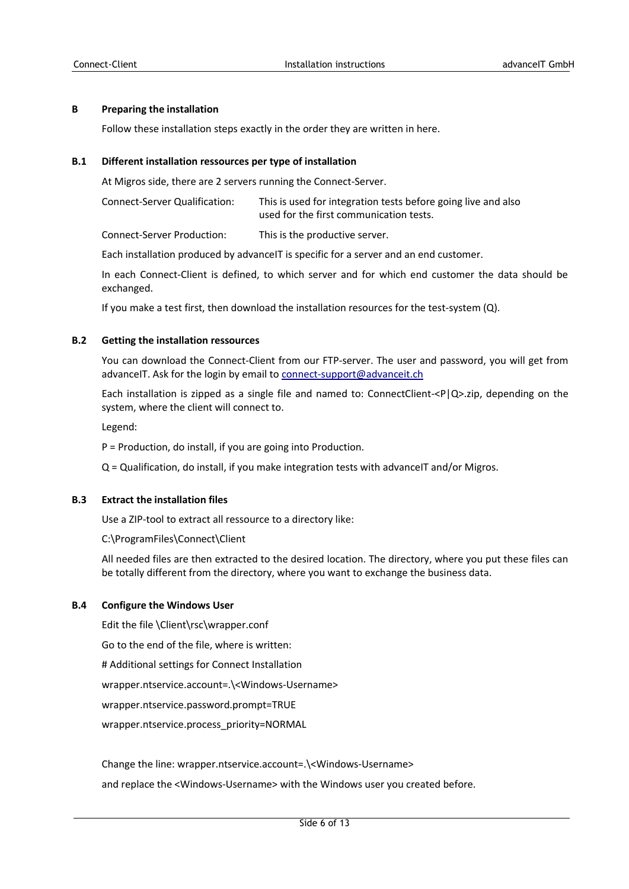## **B Preparing the installation**

Follow these installation steps exactly in the order they are written in here.

## **B.1 Different installation ressources per type of installation**

At Migros side, there are 2 servers running the Connect-Server.

Connect-Server Qualification: This is used for integration tests before going live and also used for the first communication tests.

Connect-Server Production: This is the productive server.

Each installation produced by advanceIT is specific for a server and an end customer.

In each Connect-Client is defined, to which server and for which end customer the data should be exchanged.

If you make a test first, then download the installation resources for the test-system (Q).

## **B.2 Getting the installation ressources**

You can download the Connect-Client from our FTP-server. The user and password, you will get from advanceIT. Ask for the login by email t[o connect-support@advanceit.ch](mailto:connect-support@advanceit.ch)

Each installation is zipped as a single file and named to: ConnectClient- $\langle P|Q\rangle$ -zip, depending on the system, where the client will connect to.

Legend:

P = Production, do install, if you are going into Production.

Q = Qualification, do install, if you make integration tests with advanceIT and/or Migros.

## **B.3 Extract the installation files**

Use a ZIP-tool to extract all ressource to a directory like:

[C:\ProgramFiles\Connect\Client](../../../../../../../Program)

[All needed files are then extracted to the desired location. The directory, where you put these files can](../../../../../../../Program)  [be totally different from the directory, where you want to exchange the business data.](../../../../../../../Program)

## **B.4 [Configure the Windows User](../../../../../../../Program)**

Edit the file \Client\rsc\wrapper.conf

Go to the end of the file, where is written:

# Additional settings for Connect Installation

wrapper.ntservice.account=.\<Windows-Username>

wrapper.ntservice.password.prompt=TRUE

wrapper.ntservice.process\_priority=NORMAL

Change the line: wrapper.ntservice.account=.\<Windows-Username>

and replace the <Windows-Username> with the Windows user you created before.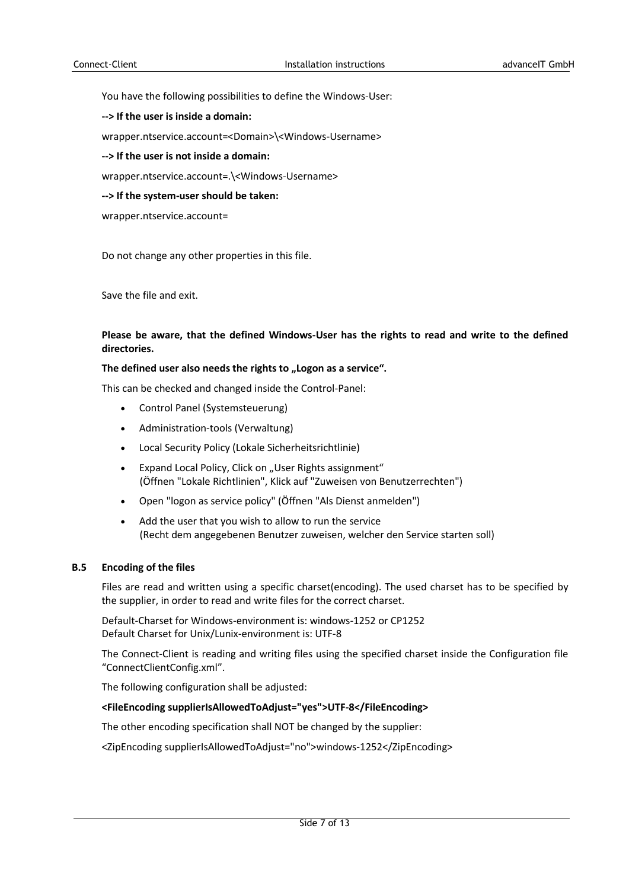You have the following possibilities to define the Windows-User:

**--> If the user is inside a domain:**

wrapper.ntservice.account=<Domain>\<Windows-Username>

**--> If the user is not inside a domain:**

wrapper.ntservice.account=.\<Windows-Username>

**--> If the system-user should be taken:**

wrapper.ntservice.account=

Do not change any other properties in this file.

Save the file and exit.

## **Please be aware, that the defined Windows-User has the rights to read and write to the defined directories.**

#### The defined user also needs the rights to "Logon as a service".

This can be checked and changed inside the Control-Panel:

- Control Panel (Systemsteuerung)
- Administration-tools (Verwaltung)
- Local Security Policy (Lokale Sicherheitsrichtlinie)
- Expand Local Policy, Click on "User Rights assignment" (Öffnen "Lokale Richtlinien", Klick auf "Zuweisen von Benutzerrechten")
- Open "logon as service policy" (Öffnen "Als Dienst anmelden")
- Add the user that you wish to allow to run the service (Recht dem angegebenen Benutzer zuweisen, welcher den Service starten soll)

#### **B.5 Encoding of the files**

Files are read and written using a specific charset(encoding). The used charset has to be specified by the supplier, in order to read and write files for the correct charset.

Default-Charset for Windows-environment is: windows-1252 or CP1252 Default Charset for Unix/Lunix-environment is: UTF-8

The Connect-Client is reading and writing files using the specified charset inside the Configuration file "ConnectClientConfig.xml".

The following configuration shall be adjusted:

## **<FileEncoding supplierIsAllowedToAdjust="yes">UTF-8</FileEncoding>**

The other encoding specification shall NOT be changed by the supplier:

<ZipEncoding supplierIsAllowedToAdjust="no">windows-1252</ZipEncoding>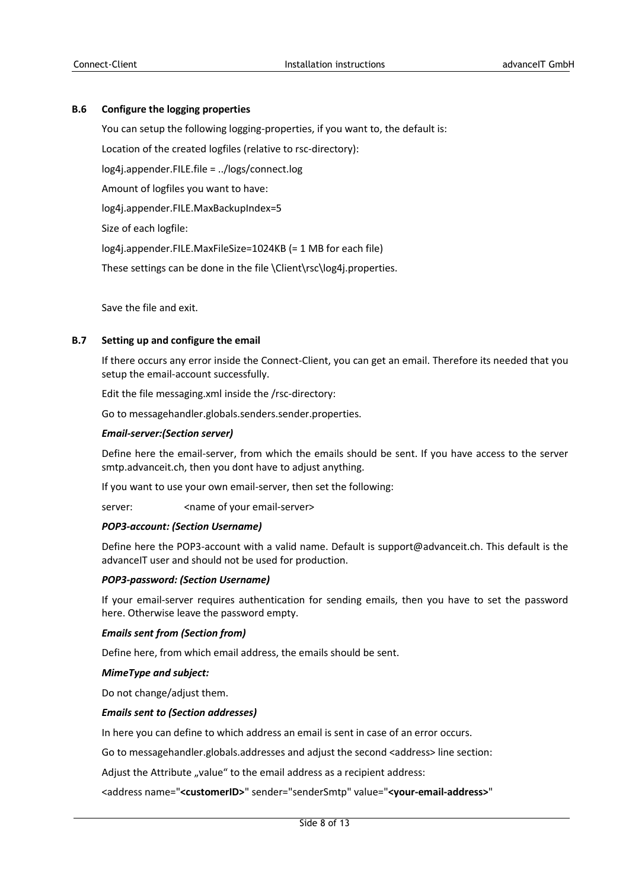## **B.6 Configure the logging properties**

You can setup the following logging-properties, if you want to, the default is:

Location of the created logfiles (relative to rsc-directory):

log4j.appender.FILE.file = ../logs/connect.log

Amount of logfiles you want to have:

log4j.appender.FILE.MaxBackupIndex=5

Size of each logfile:

log4j.appender.FILE.MaxFileSize=1024KB (= 1 MB for each file)

These settings can be done in the file \Client\rsc\log4j.properties.

Save the file and exit.

## **B.7 Setting up and configure the email**

If there occurs any error inside the Connect-Client, you can get an email. Therefore its needed that you setup the email-account successfully.

Edit the file messaging.xml inside the /rsc-directory:

Go to messagehandler.globals.senders.sender.properties.

## *Email-server:(Section server)*

Define here the email-server, from which the emails should be sent. If you have access to the server smtp.advanceit.ch, then you dont have to adjust anything.

If you want to use your own email-server, then set the following:

server: <
name of your email-server>

## *POP3-account: (Section Username)*

Define here the POP3-account with a valid name. Default is support@advanceit.ch. This default is the advanceIT user and should not be used for production.

## *POP3-password: (Section Username)*

If your email-server requires authentication for sending emails, then you have to set the password here. Otherwise leave the password empty.

## *Emails sent from (Section from)*

Define here, from which email address, the emails should be sent.

## *MimeType and subject:*

Do not change/adjust them.

## *Emails sent to (Section addresses)*

In here you can define to which address an email is sent in case of an error occurs.

Go to messagehandler.globals.addresses and adjust the second <address> line section:

Adjust the Attribute "value" to the email address as a recipient address:

<address name="**<customerID>**" sender="senderSmtp" value="**<your-email-address>**"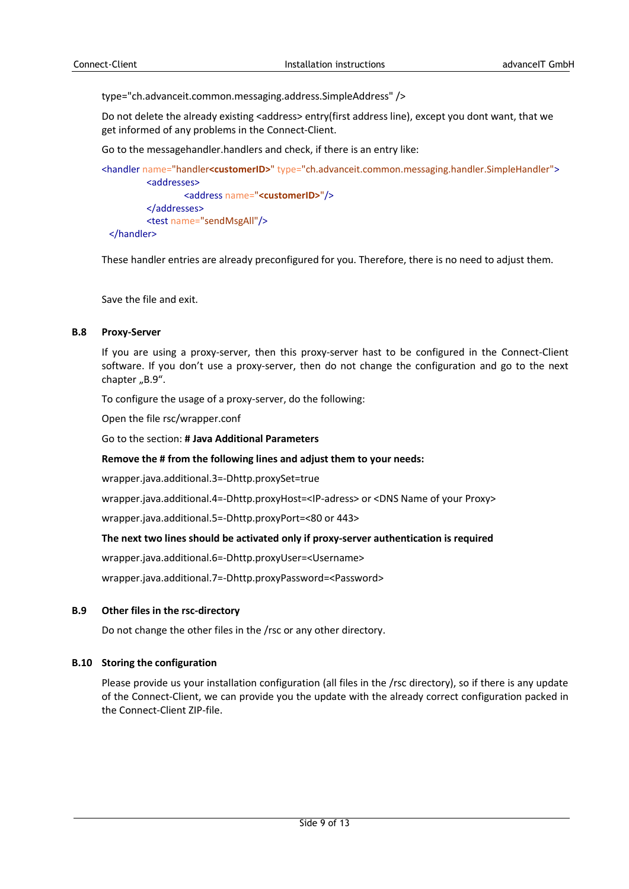type="ch.advanceit.common.messaging.address.SimpleAddress" />

Do not delete the already existing <address> entry(first address line), except you dont want, that we get informed of any problems in the Connect-Client.

Go to the messagehandler.handlers and check, if there is an entry like:

```
<handler name="handler<customerID>" type="ch.advanceit.common.messaging.handler.SimpleHandler">
         <addresses>
                 <address name="<customerID>"/>
         </addresses>
         <test name="sendMsgAll"/>
 </handler>
```
These handler entries are already preconfigured for you. Therefore, there is no need to adjust them.

Save the file and exit.

#### **B.8 Proxy-Server**

If you are using a proxy-server, then this proxy-server hast to be configured in the Connect-Client software. If you don't use a proxy-server, then do not change the configuration and go to the next chapter "B.9".

To configure the usage of a proxy-server, do the following:

Open the file rsc/wrapper.conf

Go to the section: **# Java Additional Parameters**

#### **Remove the # from the following lines and adjust them to your needs:**

wrapper.java.additional.3=-Dhttp.proxySet=true

wrapper.java.additional.4=-Dhttp.proxyHost=<IP-adress> or <DNS Name of your Proxy>

wrapper.java.additional.5=-Dhttp.proxyPort=<80 or 443>

## **The next two lines should be activated only if proxy-server authentication is required**

wrapper.java.additional.6=-Dhttp.proxyUser=<Username>

wrapper.java.additional.7=-Dhttp.proxyPassword=<Password>

## **B.9 Other files in the rsc-directory**

Do not change the other files in the /rsc or any other directory.

## **B.10 Storing the configuration**

Please provide us your installation configuration (all files in the /rsc directory), so if there is any update of the Connect-Client, we can provide you the update with the already correct configuration packed in the Connect-Client ZIP-file.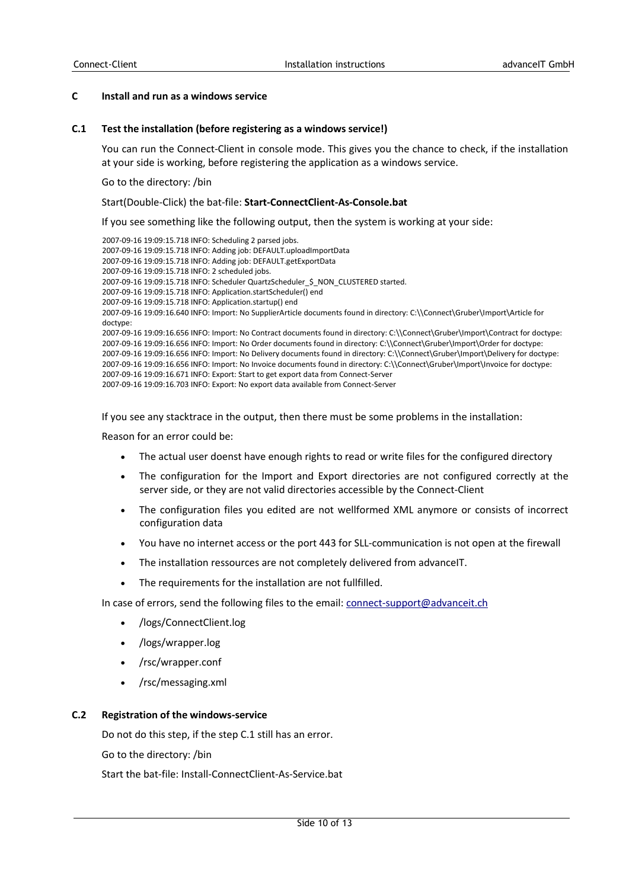#### **C Install and run as a windows service**

#### **C.1 Test the installation (before registering as a windows service!)**

You can run the Connect-Client in console mode. This gives you the chance to check, if the installation at your side is working, before registering the application as a windows service.

Go to the directory: /bin

#### Start(Double-Click) the bat-file: **Start-ConnectClient-As-Console.bat**

If you see something like the following output, then the system is working at your side:

2007-09-16 19:09:15.718 INFO: Scheduling 2 parsed jobs. 2007-09-16 19:09:15.718 INFO: Adding job: DEFAULT.uploadImportData 2007-09-16 19:09:15.718 INFO: Adding job: DEFAULT.getExportData 2007-09-16 19:09:15.718 INFO: 2 scheduled jobs. 2007-09-16 19:09:15.718 INFO: Scheduler QuartzScheduler\_\$\_NON\_CLUSTERED started. 2007-09-16 19:09:15.718 INFO: Application.startScheduler() end 2007-09-16 19:09:15.718 INFO: Application.startup() end 2007-09-16 19:09:16.640 INFO: Import: No SupplierArticle documents found in directory: C:\\Connect\Gruber\Import\Article for doctype: 2007-09-16 19:09:16.656 INFO: Import: No Contract documents found in directory: C:\\Connect\Gruber\Import\Contract for doctype: 2007-09-16 19:09:16.656 INFO: Import: No Order documents found in directory: C:\\Connect\Gruber\Import\Order for doctype: 2007-09-16 19:09:16.656 INFO: Import: No Delivery documents found in directory: C:\\Connect\Gruber\Import\Delivery for doctype: 2007-09-16 19:09:16.656 INFO: Import: No Invoice documents found in directory: C:\\Connect\Gruber\Import\Invoice for doctype: 2007-09-16 19:09:16.671 INFO: Export: Start to get export data from Connect-Server 2007-09-16 19:09:16.703 INFO: Export: No export data available from Connect-Server

If you see any stacktrace in the output, then there must be some problems in the installation:

Reason for an error could be:

- The actual user doenst have enough rights to read or write files for the configured directory
- The configuration for the Import and Export directories are not configured correctly at the server side, or they are not valid directories accessible by the Connect-Client
- The configuration files you edited are not wellformed XML anymore or consists of incorrect configuration data
- You have no internet access or the port 443 for SLL-communication is not open at the firewall
- The installation ressources are not completely delivered from advanceIT.
- The requirements for the installation are not fullfilled.

In case of errors, send the following files to the email[: connect-support@advanceit.ch](mailto:connect-support@advanceit.ch)

- /logs/ConnectClient.log
- /logs/wrapper.log
- /rsc/wrapper.conf
- /rsc/messaging.xml

#### **C.2 Registration of the windows-service**

Do not do this step, if the step C.1 still has an error.

Go to the directory: /bin

Start the bat-file: Install-ConnectClient-As-Service.bat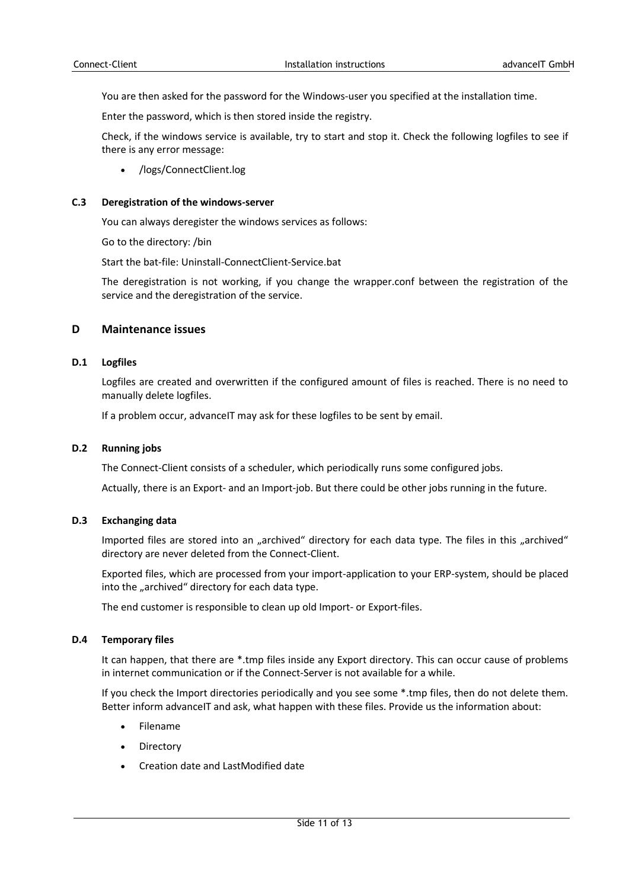You are then asked for the password for the Windows-user you specified at the installation time.

Enter the password, which is then stored inside the registry.

Check, if the windows service is available, try to start and stop it. Check the following logfiles to see if there is any error message:

/logs/ConnectClient.log

## **C.3 Deregistration of the windows-server**

You can always deregister the windows services as follows:

Go to the directory: /bin

Start the bat-file: Uninstall-ConnectClient-Service.bat

The deregistration is not working, if you change the wrapper.conf between the registration of the service and the deregistration of the service.

## **D Maintenance issues**

## **D.1 Logfiles**

Logfiles are created and overwritten if the configured amount of files is reached. There is no need to manually delete logfiles.

If a problem occur, advanceIT may ask for these logfiles to be sent by email.

## **D.2 Running jobs**

The Connect-Client consists of a scheduler, which periodically runs some configured jobs.

Actually, there is an Export- and an Import-job. But there could be other jobs running in the future.

## **D.3 Exchanging data**

Imported files are stored into an "archived" directory for each data type. The files in this "archived" directory are never deleted from the Connect-Client.

Exported files, which are processed from your import-application to your ERP-system, should be placed into the "archived" directory for each data type.

The end customer is responsible to clean up old Import- or Export-files.

## **D.4 Temporary files**

It can happen, that there are \*.tmp files inside any Export directory. This can occur cause of problems in internet communication or if the Connect-Server is not available for a while.

If you check the Import directories periodically and you see some \*.tmp files, then do not delete them. Better inform advanceIT and ask, what happen with these files. Provide us the information about:

- Filename
- Directory
- Creation date and LastModified date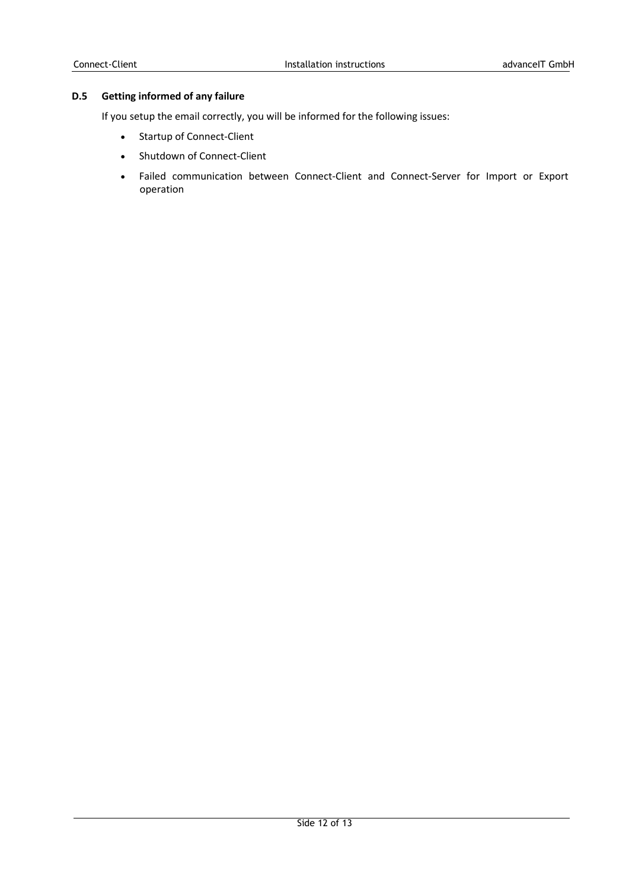## **D.5 Getting informed of any failure**

If you setup the email correctly, you will be informed for the following issues:

- Startup of Connect-Client
- Shutdown of Connect-Client
- Failed communication between Connect-Client and Connect-Server for Import or Export operation